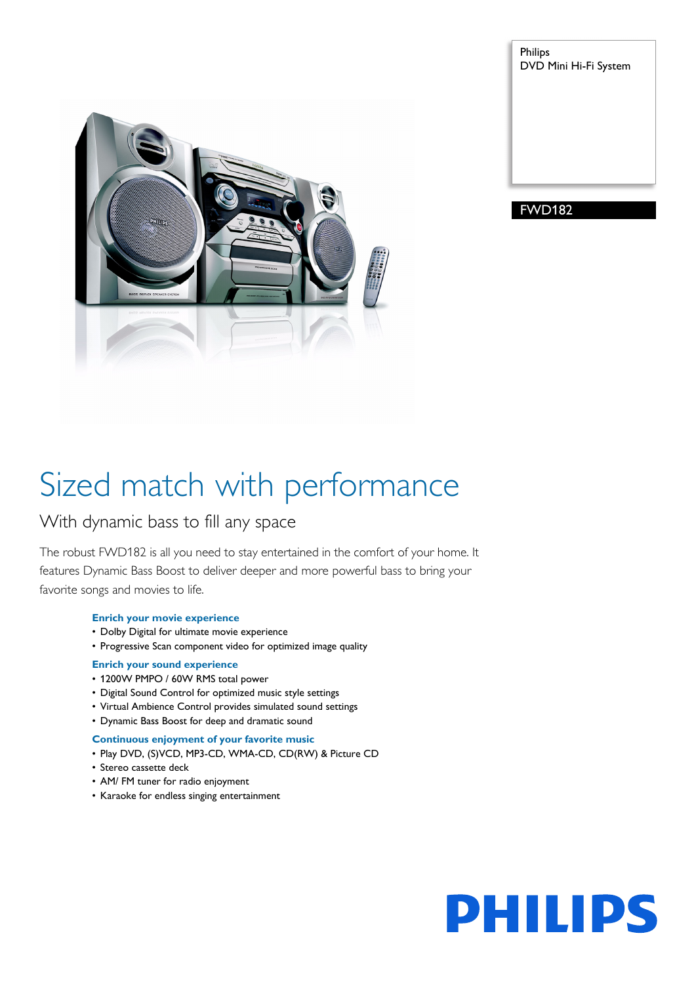

Philips DVD Mini Hi-Fi System

### FWD182

# Sized match with performance

### With dynamic bass to fill any space

The robust FWD182 is all you need to stay entertained in the comfort of your home. It features Dynamic Bass Boost to deliver deeper and more powerful bass to bring your favorite songs and movies to life.

### **Enrich your movie experience**

- Dolby Digital for ultimate movie experience
- Progressive Scan component video for optimized image quality

### **Enrich your sound experience**

- 1200W PMPO / 60W RMS total power
- Digital Sound Control for optimized music style settings
- Virtual Ambience Control provides simulated sound settings
- Dynamic Bass Boost for deep and dramatic sound

### **Continuous enjoyment of your favorite music**

- Play DVD, (S)VCD, MP3-CD, WMA-CD, CD(RW) & Picture CD
- Stereo cassette deck
- AM/ FM tuner for radio enjoyment
- Karaoke for endless singing entertainment

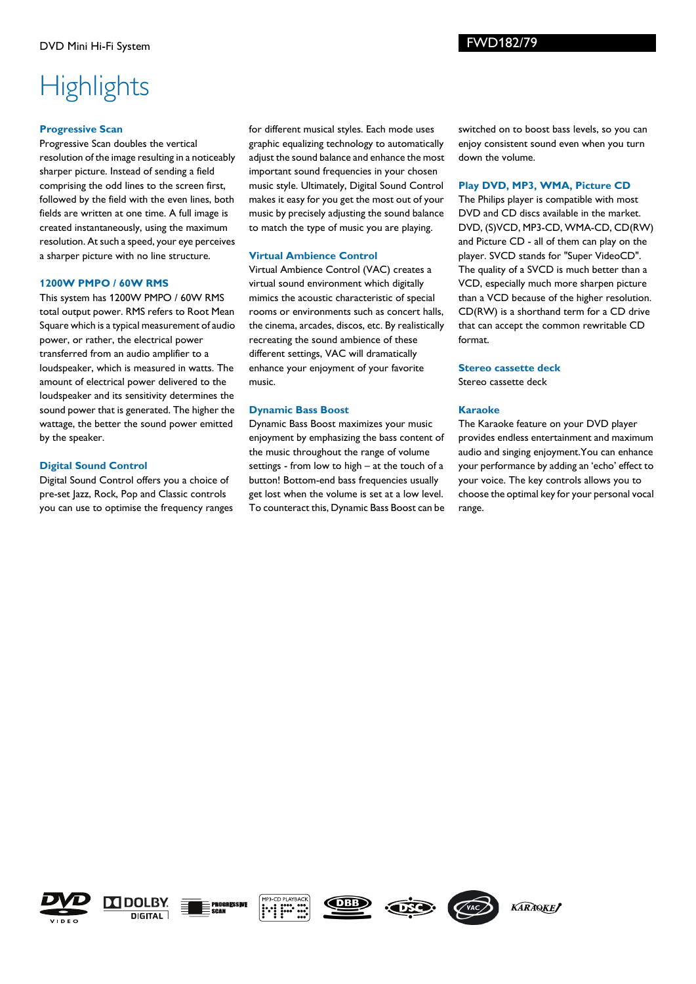### **Highlights**

### **Progressive Scan**

Progressive Scan doubles the vertical resolution of the image resulting in a noticeably sharper picture. Instead of sending a field comprising the odd lines to the screen first, followed by the field with the even lines, both fields are written at one time. A full image is created instantaneously, using the maximum resolution. At such a speed, your eye perceives a sharper picture with no line structure.

### **1200W PMPO / 60W RMS**

This system has 1200W PMPO / 60W RMS total output power. RMS refers to Root Mean Square which is a typical measurement of audio power, or rather, the electrical power transferred from an audio amplifier to a loudspeaker, which is measured in watts. The amount of electrical power delivered to the loudspeaker and its sensitivity determines the sound power that is generated. The higher the wattage, the better the sound power emitted by the speaker.

### **Digital Sound Control**

Digital Sound Control offers you a choice of pre-set Jazz, Rock, Pop and Classic controls you can use to optimise the frequency ranges

for different musical styles. Each mode uses graphic equalizing technology to automatically adjust the sound balance and enhance the most important sound frequencies in your chosen music style. Ultimately, Digital Sound Control makes it easy for you get the most out of your music by precisely adjusting the sound balance to match the type of music you are playing.

### **Virtual Ambience Control**

Virtual Ambience Control (VAC) creates a virtual sound environment which digitally mimics the acoustic characteristic of special rooms or environments such as concert halls, the cinema, arcades, discos, etc. By realistically recreating the sound ambience of these different settings, VAC will dramatically enhance your enjoyment of your favorite music.

### **Dynamic Bass Boost**

Dynamic Bass Boost maximizes your music enjoyment by emphasizing the bass content of the music throughout the range of volume settings - from low to high – at the touch of a button! Bottom-end bass frequencies usually get lost when the volume is set at a low level. To counteract this, Dynamic Bass Boost can be

switched on to boost bass levels, so you can enjoy consistent sound even when you turn down the volume.

### **Play DVD, MP3, WMA, Picture CD**

The Philips player is compatible with most DVD and CD discs available in the market. DVD, (S)VCD, MP3-CD, WMA-CD, CD(RW) and Picture CD - all of them can play on the player. SVCD stands for "Super VideoCD". The quality of a SVCD is much better than a VCD, especially much more sharpen picture than a VCD because of the higher resolution. CD(RW) is a shorthand term for a CD drive that can accept the common rewritable CD format.

### **Stereo cassette deck**

Stereo cassette deck

### **Karaoke**

The Karaoke feature on your DVD player provides endless entertainment and maximum audio and singing enjoyment.You can enhance your performance by adding an 'echo' effect to your voice. The key controls allows you to choose the optimal key for your personal vocal range.